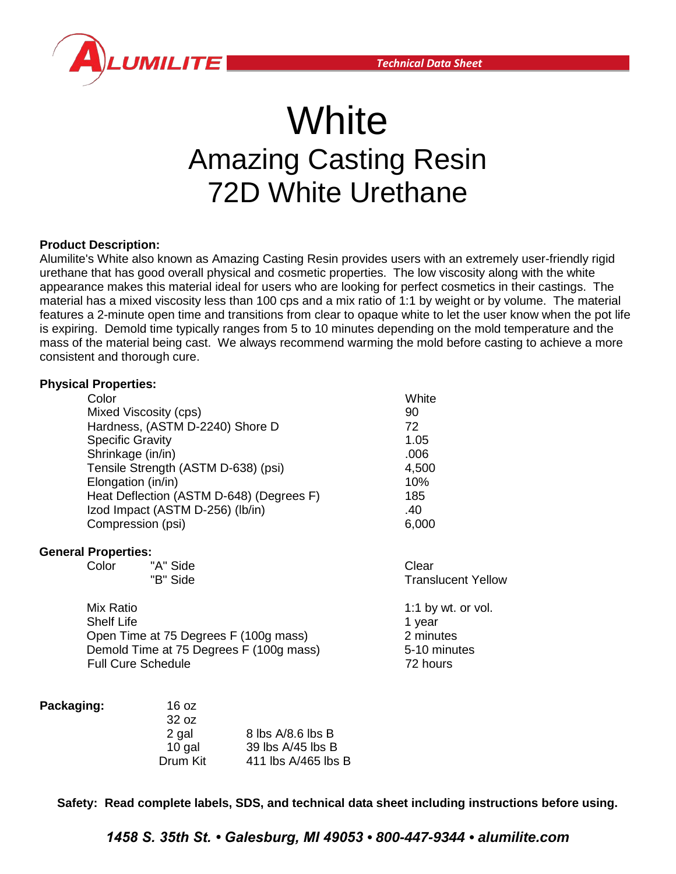

# **White** Amazing Casting Resin 72D White Urethane

### **Product Description:**

Alumilite's White also known as Amazing Casting Resin provides users with an extremely user-friendly rigid urethane that has good overall physical and cosmetic properties. The low viscosity along with the white appearance makes this material ideal for users who are looking for perfect cosmetics in their castings. The material has a mixed viscosity less than 100 cps and a mix ratio of 1:1 by weight or by volume. The material features a 2-minute open time and transitions from clear to opaque white to let the user know when the pot life is expiring. Demold time typically ranges from 5 to 10 minutes depending on the mold temperature and the mass of the material being cast. We always recommend warming the mold before casting to achieve a more consistent and thorough cure.

### **Physical Properties:**

| Color                                    | White |
|------------------------------------------|-------|
| Mixed Viscosity (cps)                    | 90    |
| Hardness, (ASTM D-2240) Shore D          | 72    |
| <b>Specific Gravity</b>                  | 1.05  |
| Shrinkage (in/in)                        | .006  |
| Tensile Strength (ASTM D-638) (psi)      | 4,500 |
| Elongation (in/in)                       | 10%   |
| Heat Deflection (ASTM D-648) (Degrees F) | 185   |
| Izod Impact (ASTM D-256) (Ib/in)         | .40   |
| Compression (psi)                        | 6,000 |
|                                          |       |

### **General Properties:**

Color "A" Side Clear "B" Side Translucent Yellow

Mix Ratio1:1 by wt. or vol. Shelf Life **1** year Open Time at 75 Degrees F (100g mass) 2 minutes Demold Time at 75 Degrees F (100g mass) 5-10 minutes Full Cure Schedule 72 hours

| Packaging: | 16 oz    |                       |
|------------|----------|-----------------------|
|            | 32 oz    |                       |
|            | 2 gal    | 8 lbs A/8.6 lbs B     |
|            | 10 gal   | 39 lbs A/45 lbs B     |
|            | Drum Kit | 411 lbs $A/465$ lbs B |

**Safety: Read complete labels, SDS, and technical data sheet including instructions before using.** 

*1458 S. 35th St. • Galesburg, MI 49053 • 800-447-9344 • alumilite.com*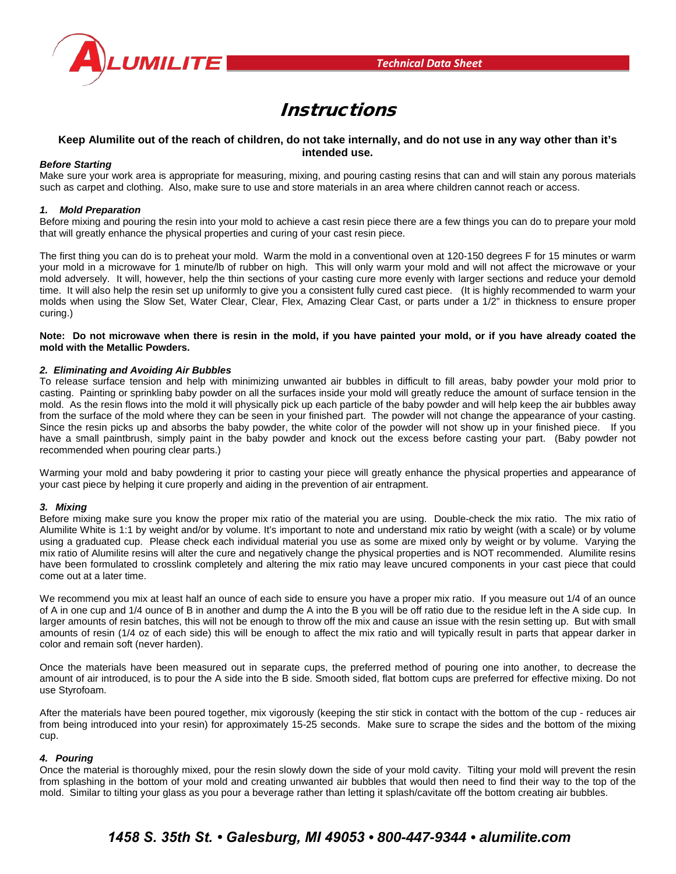

## Instructions

### **Keep Alumilite out of the reach of children, do not take internally, and do not use in any way other than it's intended use.**

### *Before Starting*

Make sure your work area is appropriate for measuring, mixing, and pouring casting resins that can and will stain any porous materials such as carpet and clothing. Also, make sure to use and store materials in an area where children cannot reach or access.

### *1. Mold Preparation*

Before mixing and pouring the resin into your mold to achieve a cast resin piece there are a few things you can do to prepare your mold that will greatly enhance the physical properties and curing of your cast resin piece.

The first thing you can do is to preheat your mold. Warm the mold in a conventional oven at 120-150 degrees F for 15 minutes or warm your mold in a microwave for 1 minute/lb of rubber on high. This will only warm your mold and will not affect the microwave or your mold adversely. It will, however, help the thin sections of your casting cure more evenly with larger sections and reduce your demold time. It will also help the resin set up uniformly to give you a consistent fully cured cast piece. (It is highly recommended to warm your molds when using the Slow Set, Water Clear, Clear, Flex, Amazing Clear Cast, or parts under a 1/2" in thickness to ensure proper curing.)

**Note: Do not microwave when there is resin in the mold, if you have painted your mold, or if you have already coated the mold with the Metallic Powders.**

### *2. Eliminating and Avoiding Air Bubbles*

To release surface tension and help with minimizing unwanted air bubbles in difficult to fill areas, baby powder your mold prior to casting. Painting or sprinkling baby powder on all the surfaces inside your mold will greatly reduce the amount of surface tension in the mold. As the resin flows into the mold it will physically pick up each particle of the baby powder and will help keep the air bubbles away from the surface of the mold where they can be seen in your finished part. The powder will not change the appearance of your casting. Since the resin picks up and absorbs the baby powder, the white color of the powder will not show up in your finished piece. If you have a small paintbrush, simply paint in the baby powder and knock out the excess before casting your part. (Baby powder not recommended when pouring clear parts.)

Warming your mold and baby powdering it prior to casting your piece will greatly enhance the physical properties and appearance of your cast piece by helping it cure properly and aiding in the prevention of air entrapment.

#### *3. Mixing*

Before mixing make sure you know the proper mix ratio of the material you are using. Double-check the mix ratio. The mix ratio of Alumilite White is 1:1 by weight and/or by volume. It's important to note and understand mix ratio by weight (with a scale) or by volume using a graduated cup. Please check each individual material you use as some are mixed only by weight or by volume. Varying the mix ratio of Alumilite resins will alter the cure and negatively change the physical properties and is NOT recommended. Alumilite resins have been formulated to crosslink completely and altering the mix ratio may leave uncured components in your cast piece that could come out at a later time.

We recommend you mix at least half an ounce of each side to ensure you have a proper mix ratio. If you measure out 1/4 of an ounce of A in one cup and 1/4 ounce of B in another and dump the A into the B you will be off ratio due to the residue left in the A side cup. In larger amounts of resin batches, this will not be enough to throw off the mix and cause an issue with the resin setting up. But with small amounts of resin (1/4 oz of each side) this will be enough to affect the mix ratio and will typically result in parts that appear darker in color and remain soft (never harden).

Once the materials have been measured out in separate cups, the preferred method of pouring one into another, to decrease the amount of air introduced, is to pour the A side into the B side. Smooth sided, flat bottom cups are preferred for effective mixing. Do not use Styrofoam.

After the materials have been poured together, mix vigorously (keeping the stir stick in contact with the bottom of the cup - reduces air from being introduced into your resin) for approximately 15-25 seconds. Make sure to scrape the sides and the bottom of the mixing cup.

#### *4. Pouring*

Once the material is thoroughly mixed, pour the resin slowly down the side of your mold cavity. Tilting your mold will prevent the resin from splashing in the bottom of your mold and creating unwanted air bubbles that would then need to find their way to the top of the mold. Similar to tilting your glass as you pour a beverage rather than letting it splash/cavitate off the bottom creating air bubbles.

### *1458 S. 35th St. • Galesburg, MI 49053 • 800-447-9344 • alumilite.com*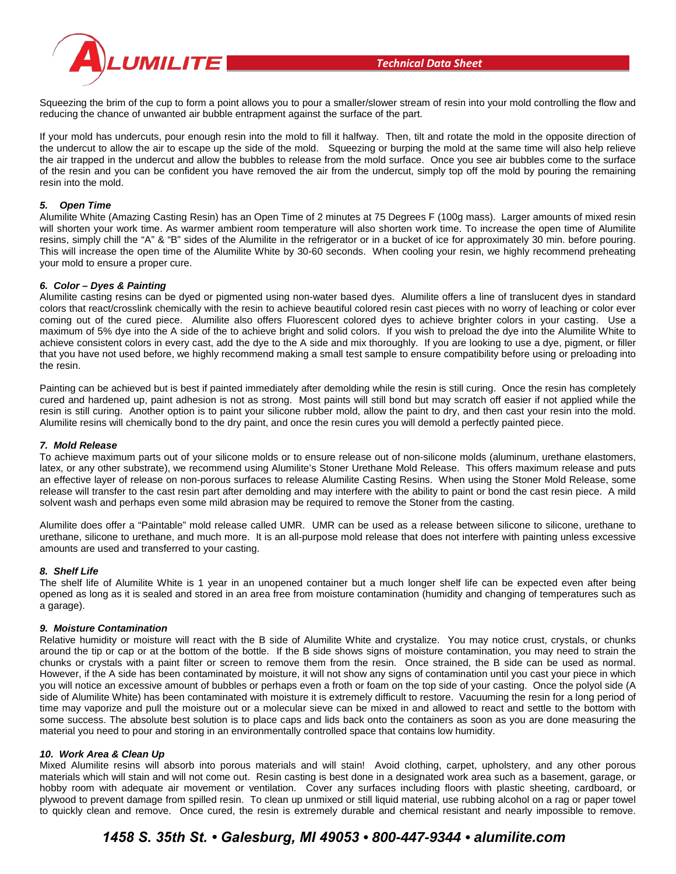



Squeezing the brim of the cup to form a point allows you to pour a smaller/slower stream of resin into your mold controlling the flow and reducing the chance of unwanted air bubble entrapment against the surface of the part.

If your mold has undercuts, pour enough resin into the mold to fill it halfway. Then, tilt and rotate the mold in the opposite direction of the undercut to allow the air to escape up the side of the mold. Squeezing or burping the mold at the same time will also help relieve the air trapped in the undercut and allow the bubbles to release from the mold surface. Once you see air bubbles come to the surface of the resin and you can be confident you have removed the air from the undercut, simply top off the mold by pouring the remaining resin into the mold.

### *5. Open Time*

Alumilite White (Amazing Casting Resin) has an Open Time of 2 minutes at 75 Degrees F (100g mass). Larger amounts of mixed resin will shorten your work time. As warmer ambient room temperature will also shorten work time. To increase the open time of Alumilite resins, simply chill the "A" & "B" sides of the Alumilite in the refrigerator or in a bucket of ice for approximately 30 min. before pouring. This will increase the open time of the Alumilite White by 30-60 seconds. When cooling your resin, we highly recommend preheating your mold to ensure a proper cure.

### *6. Color – Dyes & Painting*

Alumilite casting resins can be dyed or pigmented using non-water based dyes. Alumilite offers a line of translucent dyes in standard colors that react/crosslink chemically with the resin to achieve beautiful colored resin cast pieces with no worry of leaching or color ever coming out of the cured piece. Alumilite also offers Fluorescent colored dyes to achieve brighter colors in your casting. Use a maximum of 5% dye into the A side of the to achieve bright and solid colors. If you wish to preload the dye into the Alumilite White to achieve consistent colors in every cast, add the dye to the A side and mix thoroughly. If you are looking to use a dye, pigment, or filler that you have not used before, we highly recommend making a small test sample to ensure compatibility before using or preloading into the resin.

Painting can be achieved but is best if painted immediately after demolding while the resin is still curing. Once the resin has completely cured and hardened up, paint adhesion is not as strong. Most paints will still bond but may scratch off easier if not applied while the resin is still curing. Another option is to paint your silicone rubber mold, allow the paint to dry, and then cast your resin into the mold. Alumilite resins will chemically bond to the dry paint, and once the resin cures you will demold a perfectly painted piece.

### *7. Mold Release*

To achieve maximum parts out of your silicone molds or to ensure release out of non-silicone molds (aluminum, urethane elastomers, latex, or any other substrate), we recommend using Alumilite's Stoner Urethane Mold Release. This offers maximum release and puts an effective layer of release on non-porous surfaces to release Alumilite Casting Resins. When using the Stoner Mold Release, some release will transfer to the cast resin part after demolding and may interfere with the ability to paint or bond the cast resin piece. A mild solvent wash and perhaps even some mild abrasion may be required to remove the Stoner from the casting.

Alumilite does offer a "Paintable" mold release called UMR. UMR can be used as a release between silicone to silicone, urethane to urethane, silicone to urethane, and much more. It is an all-purpose mold release that does not interfere with painting unless excessive amounts are used and transferred to your casting.

### *8. Shelf Life*

The shelf life of Alumilite White is 1 year in an unopened container but a much longer shelf life can be expected even after being opened as long as it is sealed and stored in an area free from moisture contamination (humidity and changing of temperatures such as a garage).

### *9. Moisture Contamination*

Relative humidity or moisture will react with the B side of Alumilite White and crystalize. You may notice crust, crystals, or chunks around the tip or cap or at the bottom of the bottle. If the B side shows signs of moisture contamination, you may need to strain the chunks or crystals with a paint filter or screen to remove them from the resin. Once strained, the B side can be used as normal. However, if the A side has been contaminated by moisture, it will not show any signs of contamination until you cast your piece in which you will notice an excessive amount of bubbles or perhaps even a froth or foam on the top side of your casting. Once the polyol side (A side of Alumilite White) has been contaminated with moisture it is extremely difficult to restore. Vacuuming the resin for a long period of time may vaporize and pull the moisture out or a molecular sieve can be mixed in and allowed to react and settle to the bottom with some success. The absolute best solution is to place caps and lids back onto the containers as soon as you are done measuring the material you need to pour and storing in an environmentally controlled space that contains low humidity.

### *10. Work Area & Clean Up*

Mixed Alumilite resins will absorb into porous materials and will stain! Avoid clothing, carpet, upholstery, and any other porous materials which will stain and will not come out. Resin casting is best done in a designated work area such as a basement, garage, or hobby room with adequate air movement or ventilation. Cover any surfaces including floors with plastic sheeting, cardboard, or plywood to prevent damage from spilled resin. To clean up unmixed or still liquid material, use rubbing alcohol on a rag or paper towel to quickly clean and remove. Once cured, the resin is extremely durable and chemical resistant and nearly impossible to remove.

### *1458 S. 35th St. • Galesburg, MI 49053 • 800-447-9344 • alumilite.com*